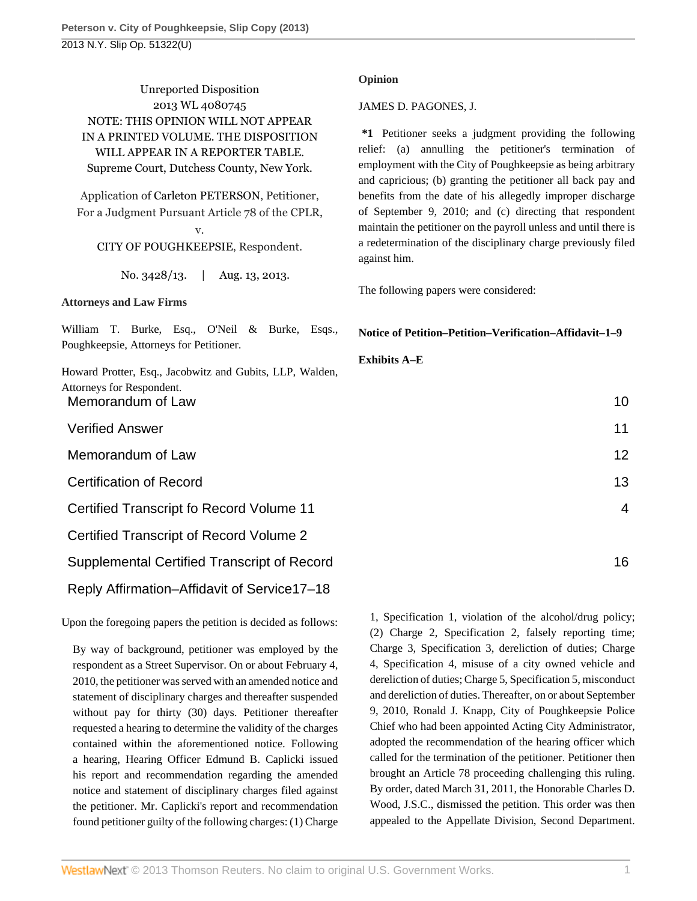Unreported Disposition 2013 WL 4080745 NOTE: THIS OPINION WILL NOT APPEAR IN A PRINTED VOLUME. THE DISPOSITION WILL APPEAR IN A REPORTER TABLE. Supreme Court, Dutchess County, New York.

Application of [Carleton PETERSON,](http://www.westlaw.com/Search/Results.html?query=advanced%3a+OAID(5022143274)&saveJuris=False&contentType=BUSINESS-INVESTIGATOR&startIndex=1&contextData=(sc.Default)&categoryPageUrl=Home%2fCompanyInvestigator&originationContext=document&vr=3.0&rs=cblt1.0&transitionType=DocumentItem) Petitioner, For a Judgment Pursuant Article 78 of the CPLR,

v. [CITY OF POUGHKEEPSIE,](http://www.westlaw.com/Search/Results.html?query=advanced%3a+OAID(5000011911)&saveJuris=False&contentType=BUSINESS-INVESTIGATOR&startIndex=1&contextData=(sc.Default)&categoryPageUrl=Home%2fCompanyInvestigator&originationContext=document&vr=3.0&rs=cblt1.0&transitionType=DocumentItem) Respondent.

No. 3428/13. | Aug. 13, 2013.

# **Attorneys and Law Firms**

[William T. Burke,](http://www.westlaw.com/Link/Document/FullText?findType=h&pubNum=176284&cite=0120428401&originatingDoc=I9288782304d111e3a555d241dae65084&refType=RQ&originationContext=document&vr=3.0&rs=cblt1.0&transitionType=DocumentItem&contextData=(sc.UserEnteredCitation)) Esq., O'Neil & Burke, Esqs., Poughkeepsie, Attorneys for Petitioner.

[Howard Protter,](http://www.westlaw.com/Link/Document/FullText?findType=h&pubNum=176284&cite=0150254901&originatingDoc=I9288782304d111e3a555d241dae65084&refType=RQ&originationContext=document&vr=3.0&rs=cblt1.0&transitionType=DocumentItem&contextData=(sc.UserEnteredCitation)) Esq., Jacobwitz and Gubits, LLP, Walden, Attorneys for Respondent. Memorandum of Law

**Verified Answer** 

Memorandum of Law

**Certification of Record** 

Certified Transcript fo Record Volume

Certified Transcript of Record Volume

Supplemental Certified Transcript of Record 16

Reply Affirmation–Affidavit of Service17–18

Upon the foregoing papers the petition is decided as follows:

By way of background, petitioner was employed by the respondent as a Street Supervisor. On or about February 4, 2010, the petitioner was served with an amended notice and statement of disciplinary charges and thereafter suspended without pay for thirty (30) days. Petitioner thereafter requested a hearing to determine the validity of the charges contained within the aforementioned notice. Following a hearing, Hearing Officer Edmund B. Caplicki issued his report and recommendation regarding the amended notice and statement of disciplinary charges filed against the petitioner. Mr. Caplicki's report and recommendation found petitioner guilty of the following charges: (1) Charge

#### **Opinion**

#### [JAMES D. PAGONES,](http://www.westlaw.com/Link/Document/FullText?findType=h&pubNum=176284&cite=0151106502&originatingDoc=I9288782304d111e3a555d241dae65084&refType=RQ&originationContext=document&vr=3.0&rs=cblt1.0&transitionType=DocumentItem&contextData=(sc.UserEnteredCitation)) J.

**\*1** Petitioner seeks a judgment providing the following relief: (a) annulling the petitioner's termination of employment with the City of Poughkeepsie as being arbitrary and capricious; (b) granting the petitioner all back pay and benefits from the date of his allegedly improper discharge of September 9, 2010; and (c) directing that respondent maintain the petitioner on the payroll unless and until there is a redetermination of the disciplinary charge previously filed against him.

The following papers were considered:

# **Notice of Petition–Petition–Verification–Affidavit–1–9**

# **Exhibits A–E**

|                | 10             |
|----------------|----------------|
|                | 11             |
|                | 12             |
|                | 13             |
| 11             | 4              |
| $\overline{2}$ |                |
| 0              | 1 <sup>6</sup> |

1, Specification 1, violation of the alcohol/drug policy; (2) Charge 2, Specification 2, falsely reporting time; Charge 3, Specification 3, dereliction of duties; Charge 4, Specification 4, misuse of a city owned vehicle and dereliction of duties; Charge 5, Specification 5, misconduct and dereliction of duties. Thereafter, on or about September 9, 2010, Ronald J. Knapp, City of Poughkeepsie Police Chief who had been appointed Acting City Administrator, adopted the recommendation of the hearing officer which called for the termination of the petitioner. Petitioner then brought an Article 78 proceeding challenging this ruling. By order, dated March 31, 2011, the Honorable Charles D. Wood, J.S.C., dismissed the petition. This order was then appealed to the Appellate Division, Second Department.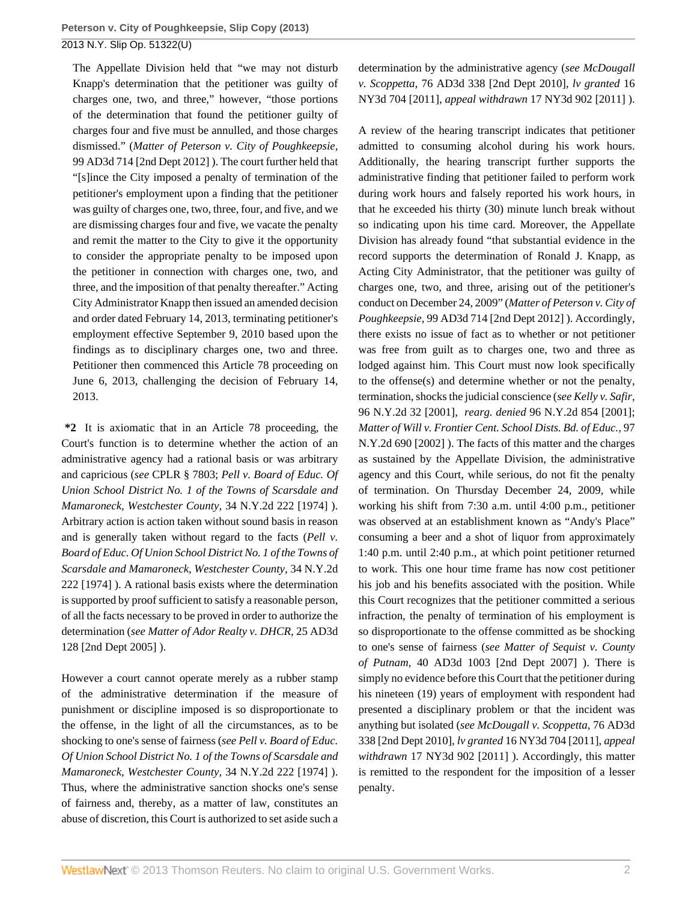The Appellate Division held that "we may not disturb Knapp's determination that the petitioner was guilty of charges one, two, and three," however, "those portions of the determination that found the petitioner guilty of charges four and five must be annulled, and those charges dismissed." (*[Matter of Peterson v. City of Poughkeepsie,](http://www.westlaw.com/Link/Document/FullText?findType=Y&serNum=2028760282&pubNum=7049&originationContext=document&vr=3.0&rs=cblt1.0&transitionType=DocumentItem&contextData=(sc.UserEnteredCitation))* [99 AD3d 714](http://www.westlaw.com/Link/Document/FullText?findType=Y&serNum=2028760282&pubNum=7049&originationContext=document&vr=3.0&rs=cblt1.0&transitionType=DocumentItem&contextData=(sc.UserEnteredCitation)) [2nd Dept 2012] ). The court further held that "[s]ince the City imposed a penalty of termination of the petitioner's employment upon a finding that the petitioner was guilty of charges one, two, three, four, and five, and we are dismissing charges four and five, we vacate the penalty and remit the matter to the City to give it the opportunity to consider the appropriate penalty to be imposed upon the petitioner in connection with charges one, two, and three, and the imposition of that penalty thereafter." Acting City Administrator Knapp then issued an amended decision and order dated February 14, 2013, terminating petitioner's employment effective September 9, 2010 based upon the findings as to disciplinary charges one, two and three. Petitioner then commenced this Article 78 proceeding on June 6, 2013, challenging the decision of February 14, 2013.

**\*2** It is axiomatic that in an Article 78 proceeding, the Court's function is to determine whether the action of an administrative agency had a rational basis or was arbitrary and capricious (*see* [CPLR § 7803](http://www.westlaw.com/Link/Document/FullText?findType=L&pubNum=1000059&cite=NYCPS7803&originatingDoc=I9288782304d111e3a555d241dae65084&refType=LQ&originationContext=document&vr=3.0&rs=cblt1.0&transitionType=DocumentItem&contextData=(sc.UserEnteredCitation)); *[Pell v. Board of Educ. Of](http://www.westlaw.com/Link/Document/FullText?findType=Y&serNum=1974120919&pubNum=605&originationContext=document&vr=3.0&rs=cblt1.0&transitionType=DocumentItem&contextData=(sc.UserEnteredCitation)) [Union School District No. 1 of the Towns of Scarsdale and](http://www.westlaw.com/Link/Document/FullText?findType=Y&serNum=1974120919&pubNum=605&originationContext=document&vr=3.0&rs=cblt1.0&transitionType=DocumentItem&contextData=(sc.UserEnteredCitation)) [Mamaroneck, Westchester County,](http://www.westlaw.com/Link/Document/FullText?findType=Y&serNum=1974120919&pubNum=605&originationContext=document&vr=3.0&rs=cblt1.0&transitionType=DocumentItem&contextData=(sc.UserEnteredCitation))* 34 N.Y.2d 222 [1974] ). Arbitrary action is action taken without sound basis in reason and is generally taken without regard to the facts (*[Pell v.](http://www.westlaw.com/Link/Document/FullText?findType=Y&serNum=1974120919&pubNum=605&originationContext=document&vr=3.0&rs=cblt1.0&transitionType=DocumentItem&contextData=(sc.UserEnteredCitation)) [Board of Educ. Of Union School District No. 1 of the Towns of](http://www.westlaw.com/Link/Document/FullText?findType=Y&serNum=1974120919&pubNum=605&originationContext=document&vr=3.0&rs=cblt1.0&transitionType=DocumentItem&contextData=(sc.UserEnteredCitation)) [Scarsdale and Mamaroneck, Westchester County,](http://www.westlaw.com/Link/Document/FullText?findType=Y&serNum=1974120919&pubNum=605&originationContext=document&vr=3.0&rs=cblt1.0&transitionType=DocumentItem&contextData=(sc.UserEnteredCitation))* 34 N.Y.2d [222 \[1974\] \).](http://www.westlaw.com/Link/Document/FullText?findType=Y&serNum=1974120919&pubNum=605&originationContext=document&vr=3.0&rs=cblt1.0&transitionType=DocumentItem&contextData=(sc.UserEnteredCitation)) A rational basis exists where the determination is supported by proof sufficient to satisfy a reasonable person, of all the facts necessary to be proved in order to authorize the determination (*see [Matter of Ador Realty v. DHCR,](http://www.westlaw.com/Link/Document/FullText?findType=Y&serNum=2007420091&pubNum=7049&originationContext=document&vr=3.0&rs=cblt1.0&transitionType=DocumentItem&contextData=(sc.UserEnteredCitation))* 25 AD3d [128](http://www.westlaw.com/Link/Document/FullText?findType=Y&serNum=2007420091&pubNum=7049&originationContext=document&vr=3.0&rs=cblt1.0&transitionType=DocumentItem&contextData=(sc.UserEnteredCitation)) [2nd Dept 2005] ).

However a court cannot operate merely as a rubber stamp of the administrative determination if the measure of punishment or discipline imposed is so disproportionate to the offense, in the light of all the circumstances, as to be shocking to one's sense of fairness (*see [Pell v. Board of Educ.](http://www.westlaw.com/Link/Document/FullText?findType=Y&serNum=1974120919&pubNum=605&originationContext=document&vr=3.0&rs=cblt1.0&transitionType=DocumentItem&contextData=(sc.UserEnteredCitation)) [Of Union School District No. 1 of the Towns of Scarsdale and](http://www.westlaw.com/Link/Document/FullText?findType=Y&serNum=1974120919&pubNum=605&originationContext=document&vr=3.0&rs=cblt1.0&transitionType=DocumentItem&contextData=(sc.UserEnteredCitation)) [Mamaroneck, Westchester County,](http://www.westlaw.com/Link/Document/FullText?findType=Y&serNum=1974120919&pubNum=605&originationContext=document&vr=3.0&rs=cblt1.0&transitionType=DocumentItem&contextData=(sc.UserEnteredCitation))* 34 N.Y.2d 222 [1974] ). Thus, where the administrative sanction shocks one's sense of fairness and, thereby, as a matter of law, constitutes an abuse of discretion, this Court is authorized to set aside such a

determination by the administrative agency (*see [McDougall](http://www.westlaw.com/Link/Document/FullText?findType=Y&serNum=2022560773&pubNum=7049&originationContext=document&vr=3.0&rs=cblt1.0&transitionType=DocumentItem&contextData=(sc.UserEnteredCitation)) v. Scoppetta,* [76 AD3d 338](http://www.westlaw.com/Link/Document/FullText?findType=Y&serNum=2022560773&pubNum=7049&originationContext=document&vr=3.0&rs=cblt1.0&transitionType=DocumentItem&contextData=(sc.UserEnteredCitation)) [2nd Dept 2010], *lv granted* [16](http://www.westlaw.com/Link/Document/FullText?findType=Y&serNum=2024586546&pubNum=7048&originationContext=document&vr=3.0&rs=cblt1.0&transitionType=DocumentItem&contextData=(sc.UserEnteredCitation)) [NY3d 704 \[2011\],](http://www.westlaw.com/Link/Document/FullText?findType=Y&serNum=2024586546&pubNum=7048&originationContext=document&vr=3.0&rs=cblt1.0&transitionType=DocumentItem&contextData=(sc.UserEnteredCitation)) *appeal withdrawn* [17 NY3d 902 \[2011\] \).](http://www.westlaw.com/Link/Document/FullText?findType=Y&serNum=2026598592&pubNum=7048&originationContext=document&vr=3.0&rs=cblt1.0&transitionType=DocumentItem&contextData=(sc.UserEnteredCitation))

A review of the hearing transcript indicates that petitioner admitted to consuming alcohol during his work hours. Additionally, the hearing transcript further supports the administrative finding that petitioner failed to perform work during work hours and falsely reported his work hours, in that he exceeded his thirty (30) minute lunch break without so indicating upon his time card. Moreover, the Appellate Division has already found "that substantial evidence in the record supports the determination of Ronald J. Knapp, as Acting City Administrator, that the petitioner was guilty of charges one, two, and three, arising out of the petitioner's conduct on December 24, 2009" (*[Matter of Peterson v. City of](http://www.westlaw.com/Link/Document/FullText?findType=Y&serNum=2028760282&pubNum=7049&originationContext=document&vr=3.0&rs=cblt1.0&transitionType=DocumentItem&contextData=(sc.UserEnteredCitation)) [Poughkeepsie,](http://www.westlaw.com/Link/Document/FullText?findType=Y&serNum=2028760282&pubNum=7049&originationContext=document&vr=3.0&rs=cblt1.0&transitionType=DocumentItem&contextData=(sc.UserEnteredCitation))* 99 AD3d 714 [2nd Dept 2012] ). Accordingly, there exists no issue of fact as to whether or not petitioner was free from guilt as to charges one, two and three as lodged against him. This Court must now look specifically to the offense(s) and determine whether or not the penalty, termination, shocks the judicial conscience (*see [Kelly v. Safir,](http://www.westlaw.com/Link/Document/FullText?findType=Y&serNum=2001243021&pubNum=605&originationContext=document&vr=3.0&rs=cblt1.0&transitionType=DocumentItem&contextData=(sc.UserEnteredCitation))* [96 N.Y.2d 32 \[2001\],](http://www.westlaw.com/Link/Document/FullText?findType=Y&serNum=2001243021&pubNum=605&originationContext=document&vr=3.0&rs=cblt1.0&transitionType=DocumentItem&contextData=(sc.UserEnteredCitation)) *rearg. denied* [96 N.Y.2d 854 \[2001\];](http://www.westlaw.com/Link/Document/FullText?findType=Y&serNum=2001517933&pubNum=605&originationContext=document&vr=3.0&rs=cblt1.0&transitionType=DocumentItem&contextData=(sc.UserEnteredCitation)) *[Matter of Will v. Frontier Cent. School Dists. Bd. of Educ.,](http://www.westlaw.com/Link/Document/FullText?findType=Y&serNum=2002042330&pubNum=605&originationContext=document&vr=3.0&rs=cblt1.0&transitionType=DocumentItem&contextData=(sc.UserEnteredCitation))* 97 [N.Y.2d 690 \[2002\] \).](http://www.westlaw.com/Link/Document/FullText?findType=Y&serNum=2002042330&pubNum=605&originationContext=document&vr=3.0&rs=cblt1.0&transitionType=DocumentItem&contextData=(sc.UserEnteredCitation)) The facts of this matter and the charges as sustained by the Appellate Division, the administrative agency and this Court, while serious, do not fit the penalty of termination. On Thursday December 24, 2009, while working his shift from 7:30 a.m. until 4:00 p.m., petitioner was observed at an establishment known as "Andy's Place" consuming a beer and a shot of liquor from approximately 1:40 p.m. until 2:40 p.m., at which point petitioner returned to work. This one hour time frame has now cost petitioner his job and his benefits associated with the position. While this Court recognizes that the petitioner committed a serious infraction, the penalty of termination of his employment is so disproportionate to the offense committed as be shocking to one's sense of fairness (*see [Matter of Sequist v. County](http://www.westlaw.com/Link/Document/FullText?findType=Y&serNum=2012324741&pubNum=7049&originationContext=document&vr=3.0&rs=cblt1.0&transitionType=DocumentItem&contextData=(sc.UserEnteredCitation)) of Putnam,* [40 AD3d 1003](http://www.westlaw.com/Link/Document/FullText?findType=Y&serNum=2012324741&pubNum=7049&originationContext=document&vr=3.0&rs=cblt1.0&transitionType=DocumentItem&contextData=(sc.UserEnteredCitation)) [2nd Dept 2007] ). There is simply no evidence before this Court that the petitioner during his nineteen (19) years of employment with respondent had presented a disciplinary problem or that the incident was anything but isolated (*see [McDougall v. Scoppetta,](http://www.westlaw.com/Link/Document/FullText?findType=Y&serNum=2022560773&pubNum=7049&originationContext=document&vr=3.0&rs=cblt1.0&transitionType=DocumentItem&contextData=(sc.UserEnteredCitation))* 76 AD3d [338](http://www.westlaw.com/Link/Document/FullText?findType=Y&serNum=2022560773&pubNum=7049&originationContext=document&vr=3.0&rs=cblt1.0&transitionType=DocumentItem&contextData=(sc.UserEnteredCitation)) [2nd Dept 2010], *lv granted* [16 NY3d 704 \[2011\],](http://www.westlaw.com/Link/Document/FullText?findType=Y&serNum=2024586546&pubNum=7048&originationContext=document&vr=3.0&rs=cblt1.0&transitionType=DocumentItem&contextData=(sc.UserEnteredCitation)) *appeal withdrawn* [17 NY3d 902 \[2011\] \).](http://www.westlaw.com/Link/Document/FullText?findType=Y&serNum=2026598592&pubNum=7048&originationContext=document&vr=3.0&rs=cblt1.0&transitionType=DocumentItem&contextData=(sc.UserEnteredCitation)) Accordingly, this matter is remitted to the respondent for the imposition of a lesser penalty.